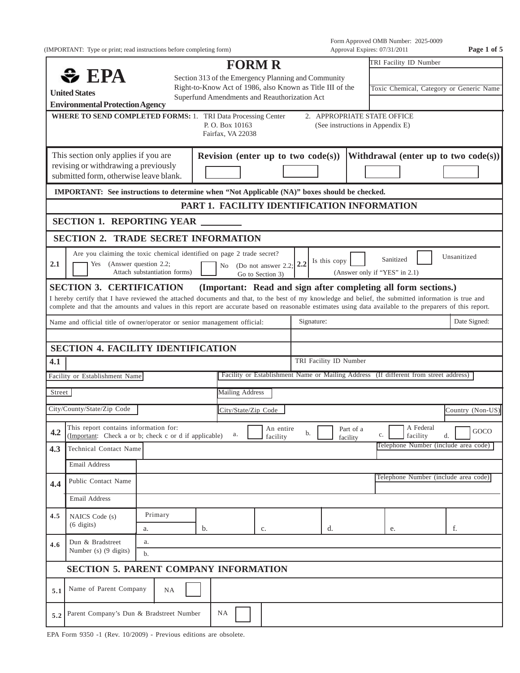(IMPORTANT: Type or print; read instructions before completing form) Approval Expires: 07/31/2011 **Page 1 of 5**

Form Approved OMB Number: 2025-0009

|        |                                                                                                                                                                                                                                                                                                                  |                              |                                                                                                           | <b>FORM R</b>                                                  |                                            |     |                             |                                          |           | TRI Facility ID Number |                                                                                      |      |
|--------|------------------------------------------------------------------------------------------------------------------------------------------------------------------------------------------------------------------------------------------------------------------------------------------------------------------|------------------------------|-----------------------------------------------------------------------------------------------------------|----------------------------------------------------------------|--------------------------------------------|-----|-----------------------------|------------------------------------------|-----------|------------------------|--------------------------------------------------------------------------------------|------|
|        | $\bullet$ EPA                                                                                                                                                                                                                                                                                                    |                              |                                                                                                           | Section 313 of the Emergency Planning and Community            |                                            |     |                             |                                          |           |                        |                                                                                      |      |
|        | <b>United States</b>                                                                                                                                                                                                                                                                                             |                              | Right-to-Know Act of 1986, also Known as Title III of the<br>Superfund Amendments and Reauthorization Act |                                                                |                                            |     |                             | Toxic Chemical, Category or Generic Name |           |                        |                                                                                      |      |
|        | <b>Environmental Protection Agency</b>                                                                                                                                                                                                                                                                           |                              |                                                                                                           |                                                                |                                            |     |                             |                                          |           |                        |                                                                                      |      |
|        | <b>WHERE TO SEND COMPLETED FORMS: 1. TRI Data Processing Center</b>                                                                                                                                                                                                                                              |                              |                                                                                                           | P.O. Box 10163<br>Fairfax, VA 22038                            |                                            |     | 2. APPROPRIATE STATE OFFICE | (See instructions in Appendix E)         |           |                        |                                                                                      |      |
|        | This section only applies if you are<br>revising or withdrawing a previously<br>submitted form, otherwise leave blank.                                                                                                                                                                                           |                              |                                                                                                           | Revision (enter up to two $code(s)$ )                          |                                            |     |                             |                                          |           |                        | Withdrawal (enter up to two $code(s)$ )                                              |      |
|        | IMPORTANT: See instructions to determine when "Not Applicable (NA)" boxes should be checked.                                                                                                                                                                                                                     |                              |                                                                                                           |                                                                |                                            |     |                             |                                          |           |                        |                                                                                      |      |
|        |                                                                                                                                                                                                                                                                                                                  |                              |                                                                                                           | PART 1. FACILITY IDENTIFICATION INFORMATION                    |                                            |     |                             |                                          |           |                        |                                                                                      |      |
|        | <b>SECTION 1. REPORTING YEAR</b>                                                                                                                                                                                                                                                                                 |                              |                                                                                                           |                                                                |                                            |     |                             |                                          |           |                        |                                                                                      |      |
|        | <b>SECTION 2. TRADE SECRET INFORMATION</b>                                                                                                                                                                                                                                                                       |                              |                                                                                                           |                                                                |                                            |     |                             |                                          |           |                        |                                                                                      |      |
| 2.1    | Are you claiming the toxic chemical identified on page 2 trade secret?<br>Yes (Answer question 2.2;                                                                                                                                                                                                              | Attach substantiation forms) |                                                                                                           |                                                                | No (Do not answer 2.2;<br>Go to Section 3) | 2.2 | Is this copy                | (Answer only if "YES" in 2.1)            | Sanitized |                        | Unsanitized                                                                          |      |
|        | <b>SECTION 3. CERTIFICATION</b>                                                                                                                                                                                                                                                                                  |                              |                                                                                                           | (Important: Read and sign after completing all form sections.) |                                            |     |                             |                                          |           |                        |                                                                                      |      |
|        | I hereby certify that I have reviewed the attached documents and that, to the best of my knowledge and belief, the submitted information is true and<br>complete and that the amounts and values in this report are accurate based on reasonable estimates using data available to the preparers of this report. |                              |                                                                                                           |                                                                |                                            |     |                             |                                          |           |                        |                                                                                      |      |
|        | Name and official title of owner/operator or senior management official:                                                                                                                                                                                                                                         |                              |                                                                                                           |                                                                |                                            |     | Signature:                  |                                          |           |                        | Date Signed:                                                                         |      |
|        |                                                                                                                                                                                                                                                                                                                  |                              |                                                                                                           |                                                                |                                            |     |                             |                                          |           |                        |                                                                                      |      |
|        | <b>SECTION 4. FACILITY IDENTIFICATION</b>                                                                                                                                                                                                                                                                        |                              |                                                                                                           |                                                                |                                            |     |                             |                                          |           |                        |                                                                                      |      |
| 4.1    |                                                                                                                                                                                                                                                                                                                  |                              |                                                                                                           |                                                                |                                            |     | TRI Facility ID Number      |                                          |           |                        |                                                                                      |      |
|        | Facility or Establishment Name                                                                                                                                                                                                                                                                                   |                              |                                                                                                           |                                                                |                                            |     |                             |                                          |           |                        | Facility or Establishment Name or Mailing Address (If different from street address) |      |
| Street |                                                                                                                                                                                                                                                                                                                  |                              |                                                                                                           | <b>Mailing Address</b>                                         |                                            |     |                             |                                          |           |                        |                                                                                      |      |
|        | City/County/State/Zip Code                                                                                                                                                                                                                                                                                       |                              |                                                                                                           | City/State/Zip Code                                            |                                            |     |                             |                                          |           |                        | Country (Non-US)                                                                     |      |
| 4.2    | This report contains information for:<br>(Important: Check a or b; check c or d if applicable)                                                                                                                                                                                                                   |                              |                                                                                                           | a.                                                             | An entire<br>facility                      | b.  |                             | Part of a                                | c.        | A Federal<br>facility  | d.                                                                                   | GOCO |
| 4.3    | <b>Technical Contact Name</b>                                                                                                                                                                                                                                                                                    |                              |                                                                                                           |                                                                |                                            |     |                             | $\mathsf{\mathsf{I}}$ facility           |           |                        | Telephone Number (include area code)                                                 |      |
|        | Email Address                                                                                                                                                                                                                                                                                                    |                              |                                                                                                           |                                                                |                                            |     |                             |                                          |           |                        |                                                                                      |      |
|        | Public Contact Name                                                                                                                                                                                                                                                                                              |                              |                                                                                                           |                                                                |                                            |     |                             |                                          |           |                        | Telephone Number (include area code)                                                 |      |
| 4.4    |                                                                                                                                                                                                                                                                                                                  |                              |                                                                                                           |                                                                |                                            |     |                             |                                          |           |                        |                                                                                      |      |
|        | Email Address                                                                                                                                                                                                                                                                                                    |                              |                                                                                                           |                                                                |                                            |     |                             |                                          |           |                        |                                                                                      |      |
| 4.5    | NAICS Code (s)<br>$(6 \text{ digits})$                                                                                                                                                                                                                                                                           | Primary                      |                                                                                                           |                                                                |                                            |     |                             |                                          |           |                        |                                                                                      |      |
|        |                                                                                                                                                                                                                                                                                                                  | a.                           | b.                                                                                                        |                                                                | c.                                         |     | d.                          |                                          | e.        |                        | f.                                                                                   |      |
| 4.6    | Dun & Bradstreet<br>Number (s) (9 digits)                                                                                                                                                                                                                                                                        | a.<br>$\mathbf{b}$ .         |                                                                                                           |                                                                |                                            |     |                             |                                          |           |                        |                                                                                      |      |
|        | SECTION 5. PARENT COMPANY INFORMATION                                                                                                                                                                                                                                                                            |                              |                                                                                                           |                                                                |                                            |     |                             |                                          |           |                        |                                                                                      |      |
| 5.1    | Name of Parent Company                                                                                                                                                                                                                                                                                           | NA                           |                                                                                                           |                                                                |                                            |     |                             |                                          |           |                        |                                                                                      |      |
|        |                                                                                                                                                                                                                                                                                                                  |                              | Parent Company's Dun & Bradstreet Number                                                                  |                                                                |                                            |     |                             |                                          |           |                        |                                                                                      |      |

EPA Form 9350 -1 (Rev. 10/2009) - Previous editions are obsolete.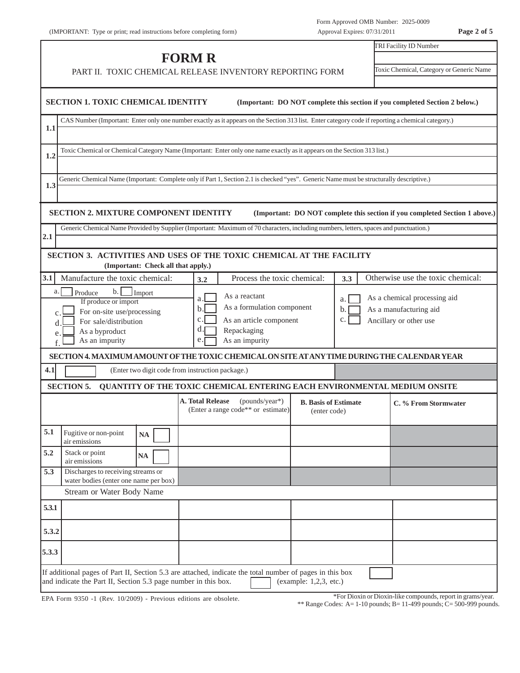|                              | (IMPORTANT: Type or print; read instructions before completing form)                                                                                   |                                                                                                                                        | Approval Expires: 07/31/2011                                                |                                                                                  | Page 2 of 5 |
|------------------------------|--------------------------------------------------------------------------------------------------------------------------------------------------------|----------------------------------------------------------------------------------------------------------------------------------------|-----------------------------------------------------------------------------|----------------------------------------------------------------------------------|-------------|
|                              |                                                                                                                                                        | <b>FORM R</b>                                                                                                                          |                                                                             | TRI Facility ID Number                                                           |             |
|                              | PART II. TOXIC CHEMICAL RELEASE INVENTORY REPORTING FORM                                                                                               |                                                                                                                                        |                                                                             | Toxic Chemical, Category or Generic Name                                         |             |
|                              | <b>SECTION 1. TOXIC CHEMICAL IDENTITY</b>                                                                                                              |                                                                                                                                        | (Important: DO NOT complete this section if you completed Section 2 below.) |                                                                                  |             |
| 1.1                          | CAS Number (Important: Enter only one number exactly as it appears on the Section 313 list. Enter category code if reporting a chemical category.)     |                                                                                                                                        |                                                                             |                                                                                  |             |
| 1.2                          | Toxic Chemical or Chemical Category Name (Important: Enter only one name exactly as it appears on the Section 313 list.)                               |                                                                                                                                        |                                                                             |                                                                                  |             |
| 1.3                          | Generic Chemical Name (Important: Complete only if Part 1, Section 2.1 is checked "yes". Generic Name must be structurally descriptive.)               |                                                                                                                                        |                                                                             |                                                                                  |             |
|                              | <b>SECTION 2. MIXTURE COMPONENT IDENTITY</b>                                                                                                           |                                                                                                                                        | (Important: DO NOT complete this section if you completed Section 1 above.) |                                                                                  |             |
| 2.1                          | Generic Chemical Name Provided by Supplier (Important: Maximum of 70 characters, including numbers, letters, spaces and punctuation.)                  |                                                                                                                                        |                                                                             |                                                                                  |             |
|                              | SECTION 3. ACTIVITIES AND USES OF THE TOXIC CHEMICAL AT THE FACILITY<br>(Important: Check all that apply.)                                             |                                                                                                                                        |                                                                             |                                                                                  |             |
| 3.1                          | Manufacture the toxic chemical:                                                                                                                        | Process the toxic chemical:<br>3.2                                                                                                     | 3.3                                                                         | Otherwise use the toxic chemical:                                                |             |
| a.<br>$\mathbf{C}$<br>d<br>e | $\mathbf{b}$ .<br>Produce<br>Import<br>If produce or import<br>For on-site use/processing<br>For sale/distribution<br>As a byproduct<br>As an impurity | As a reactant<br>a.<br>As a formulation component<br>b.l<br>c.<br>As an article component<br>d.<br>Repackaging<br>As an impurity<br>е. | a.<br>b.<br>C.                                                              | As a chemical processing aid<br>As a manufacturing aid<br>Ancillary or other use |             |
|                              | SECTION 4. MAXIMUM AMOUNT OF THE TOXIC CHEMICAL ON SITE AT ANY TIME DURING THE CALENDAR YEAR                                                           |                                                                                                                                        |                                                                             |                                                                                  |             |
| 4.1                          |                                                                                                                                                        | (Enter two digit code from instruction package.)                                                                                       |                                                                             |                                                                                  |             |
|                              | <b>SECTION 5.</b>                                                                                                                                      | QUANTITY OF THE TOXIC CHEMICAL ENTERING EACH ENVIRONMENTAL MEDIUM ONSITE                                                               |                                                                             |                                                                                  |             |
|                              |                                                                                                                                                        | A. Total Release<br>(pounds/year*)<br>(Enter a range code <sup>**</sup> or estimate)                                                   | <b>B.</b> Basis of Estimate<br>(enter code)                                 | C. % From Stormwater                                                             |             |
| 5.1                          | Fugitive or non-point<br>$\mathbf{NA}$<br>air emissions                                                                                                |                                                                                                                                        |                                                                             |                                                                                  |             |
| 5.2                          | Stack or point<br>$\mathbf{NA}$<br>air emissions                                                                                                       |                                                                                                                                        |                                                                             |                                                                                  |             |
| 5.3                          | Discharges to receiving streams or<br>water bodies (enter one name per box)                                                                            |                                                                                                                                        |                                                                             |                                                                                  |             |
|                              | <b>Stream or Water Body Name</b>                                                                                                                       |                                                                                                                                        |                                                                             |                                                                                  |             |
| 5.3.1                        |                                                                                                                                                        |                                                                                                                                        |                                                                             |                                                                                  |             |

| 5.3   | Discharges to receiving streams or<br>water bodies (enter one name per box)                                                                                                                          |  |  |  |  |  |  |  |  |  |
|-------|------------------------------------------------------------------------------------------------------------------------------------------------------------------------------------------------------|--|--|--|--|--|--|--|--|--|
|       | Stream or Water Body Name                                                                                                                                                                            |  |  |  |  |  |  |  |  |  |
| 5.3.1 |                                                                                                                                                                                                      |  |  |  |  |  |  |  |  |  |
| 5.3.2 |                                                                                                                                                                                                      |  |  |  |  |  |  |  |  |  |
| 5.3.3 |                                                                                                                                                                                                      |  |  |  |  |  |  |  |  |  |
|       | If additional pages of Part II, Section 5.3 are attached, indicate the total number of pages in this box<br>and indicate the Part II, Section 5.3 page number in this box.<br>(example: 1,2,3, etc.) |  |  |  |  |  |  |  |  |  |

EPA Form 9350 -1 (Rev. 10/2009) - Previous editions are obsolete.

\*For Dioxin or Dioxin-like compounds, report in grams/year.

\*\* Range Codes: A=  $1-10$  pounds; B=  $11-499$  pounds; C=  $500-999$  pounds.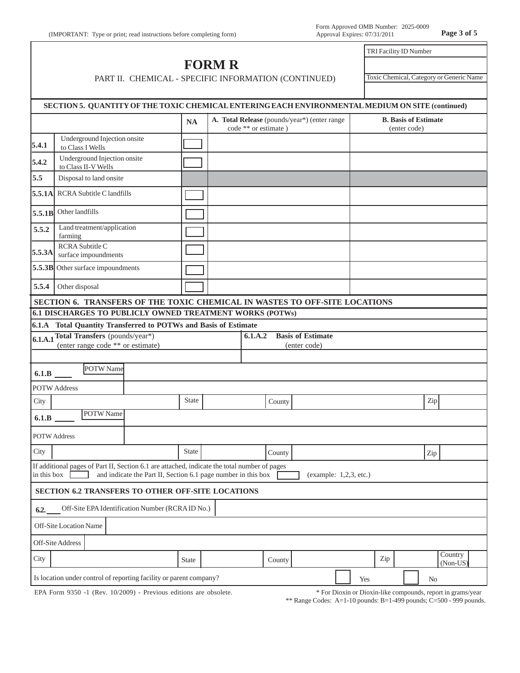## **FORM R** PART II. CHEMICAL - SPECIFIC INFORMATION (CONTINUED)

Toxic Chemical, Category or Generic Name

TRI Facility ID Number

|                     | SECTION 5. QUANTITY OF THE TOXIC CHEMICAL ENTERING EACH ENVIRONMENTAL MEDIUM ON SITE (continued)                                                              |              |                      |                                              |                        |     |                                             |     |                     |
|---------------------|---------------------------------------------------------------------------------------------------------------------------------------------------------------|--------------|----------------------|----------------------------------------------|------------------------|-----|---------------------------------------------|-----|---------------------|
|                     |                                                                                                                                                               | <b>NA</b>    | code ** or estimate) | A. Total Release (pounds/year*) (enter range |                        |     | <b>B.</b> Basis of Estimate<br>(enter code) |     |                     |
| 5.4.1               | Underground Injection onsite<br>to Class I Wells                                                                                                              |              |                      |                                              |                        |     |                                             |     |                     |
| 5.4.2               | Underground Injection onsite<br>to Class II-V Wells                                                                                                           |              |                      |                                              |                        |     |                                             |     |                     |
| 5.5                 | Disposal to land onsite                                                                                                                                       |              |                      |                                              |                        |     |                                             |     |                     |
| 5.5.1A              | <b>RCRA Subtitle C landfills</b>                                                                                                                              |              |                      |                                              |                        |     |                                             |     |                     |
| 5.5.1B              | Other landfills                                                                                                                                               |              |                      |                                              |                        |     |                                             |     |                     |
| 5.5.2               | Land treatment/application<br>farming                                                                                                                         |              |                      |                                              |                        |     |                                             |     |                     |
| 5.5.3A              | RCRA Subtitle C<br>surface impoundments                                                                                                                       |              |                      |                                              |                        |     |                                             |     |                     |
|                     | 5.5.3B Other surface impoundments                                                                                                                             |              |                      |                                              |                        |     |                                             |     |                     |
| 5.5.4               | Other disposal                                                                                                                                                |              |                      |                                              |                        |     |                                             |     |                     |
|                     | SECTION 6. TRANSFERS OF THE TOXIC CHEMICAL IN WASTES TO OFF-SITE LOCATIONS                                                                                    |              |                      |                                              |                        |     |                                             |     |                     |
|                     | 6.1 DISCHARGES TO PUBLICLY OWNED TREATMENT WORKS (POTWs)                                                                                                      |              |                      |                                              |                        |     |                                             |     |                     |
|                     | 6.1.A Total Quantity Transferred to POTWs and Basis of Estimate                                                                                               |              |                      |                                              |                        |     |                                             |     |                     |
|                     | 6.1.A.1 Total Transfers (pounds/year*)                                                                                                                        |              | 6.1.A.2              | <b>Basis of Estimate</b>                     |                        |     |                                             |     |                     |
|                     | (enter range code ** or estimate)                                                                                                                             |              |                      | (enter code)                                 |                        |     |                                             |     |                     |
| 6.1.B               | POTW Name                                                                                                                                                     |              |                      |                                              |                        |     |                                             |     |                     |
|                     | <b>POTW Address</b>                                                                                                                                           |              |                      |                                              |                        |     |                                             |     |                     |
| City                |                                                                                                                                                               | <b>State</b> | County               |                                              |                        |     |                                             | Zip |                     |
| 6.1.B               | POTW Name                                                                                                                                                     |              |                      |                                              |                        |     |                                             |     |                     |
| <b>POTW Address</b> |                                                                                                                                                               |              |                      |                                              |                        |     |                                             |     |                     |
| City                |                                                                                                                                                               | <b>State</b> | County               |                                              |                        |     |                                             | Zip |                     |
| in this box         | If additional pages of Part II, Section 6.1 are attached, indicate the total number of pages<br>and indicate the Part II, Section 6.1 page number in this box |              |                      |                                              | (example: 1,2,3, etc.) |     |                                             |     |                     |
|                     | SECTION 6.2 TRANSFERS TO OTHER OFF-SITE LOCATIONS                                                                                                             |              |                      |                                              |                        |     |                                             |     |                     |
| 6.2.                | Off-Site EPA Identification Number (RCRAID No.)                                                                                                               |              |                      |                                              |                        |     |                                             |     |                     |
|                     | Off-Site Location Name                                                                                                                                        |              |                      |                                              |                        |     |                                             |     |                     |
|                     | Off-Site Address                                                                                                                                              |              |                      |                                              |                        |     |                                             |     |                     |
| City                |                                                                                                                                                               | State        | County               |                                              |                        | Zip |                                             |     | Country<br>(Non-US) |
|                     | Is location under control of reporting facility or parent company?                                                                                            |              |                      |                                              | Yes                    |     |                                             | No  |                     |
|                     |                                                                                                                                                               |              |                      |                                              |                        |     |                                             |     |                     |

EPA Form 9350 -1 (Rev. 10/2009) - Previous editions are obsolete.

\* For Dioxin or Dioxin-like compounds, report in grams/year

\*\* Range Codes: A=1-10 pounds: B=1-499 pounds; C=500 - 999 pounds.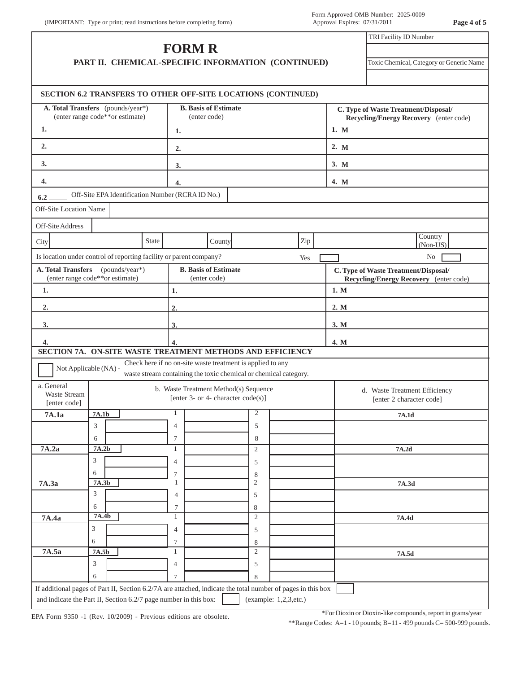|                                                   |                                                                      |       | <b>FORM R</b>     |                                                                                |                     |                                                    |      | TRI Facility ID Number                                                         |
|---------------------------------------------------|----------------------------------------------------------------------|-------|-------------------|--------------------------------------------------------------------------------|---------------------|----------------------------------------------------|------|--------------------------------------------------------------------------------|
|                                                   |                                                                      |       |                   |                                                                                |                     | PART II. CHEMICAL-SPECIFIC INFORMATION (CONTINUED) |      | Toxic Chemical, Category or Generic Name                                       |
|                                                   | SECTION 6.2 TRANSFERS TO OTHER OFF-SITE LOCATIONS (CONTINUED)        |       |                   |                                                                                |                     |                                                    |      |                                                                                |
|                                                   | A. Total Transfers (pounds/year*)<br>(enter range code**or estimate) |       |                   | <b>B.</b> Basis of Estimate<br>(enter code)                                    |                     |                                                    |      | C. Type of Waste Treatment/Disposal/<br>Recycling/Energy Recovery (enter code) |
| 1.                                                |                                                                      |       | 1.                |                                                                                |                     |                                                    | 1. M |                                                                                |
| 2.                                                |                                                                      |       | 2.                |                                                                                |                     |                                                    | 2. M |                                                                                |
| 3.                                                |                                                                      |       | 3.                |                                                                                |                     |                                                    | 3. M |                                                                                |
| 4.                                                |                                                                      |       | 4.                |                                                                                |                     |                                                    | 4. M |                                                                                |
| 6.2                                               | Off-Site EPA Identification Number (RCRA ID No.)                     |       |                   |                                                                                |                     |                                                    |      |                                                                                |
| Off-Site Location Name                            |                                                                      |       |                   |                                                                                |                     |                                                    |      |                                                                                |
| Off-Site Address                                  |                                                                      |       |                   |                                                                                |                     |                                                    |      |                                                                                |
| City                                              |                                                                      | State |                   | County                                                                         |                     | Zip                                                |      | Country<br>(Non-US)                                                            |
|                                                   | Is location under control of reporting facility or parent company?   |       |                   |                                                                                |                     | Yes                                                |      | No                                                                             |
| A. Total Transfers                                | (pounds/year*)                                                       |       |                   | <b>B.</b> Basis of Estimate                                                    |                     |                                                    |      | C. Type of Waste Treatment/Disposal/                                           |
| 1.                                                | (enter range code**or estimate)                                      |       | 1.                | (enter code)                                                                   |                     |                                                    | 1. M | <b>Recycling/Energy Recovery</b> (enter code)                                  |
|                                                   |                                                                      |       | 2.                |                                                                                |                     |                                                    | 2. M |                                                                                |
| 2.                                                |                                                                      |       |                   |                                                                                |                     |                                                    |      |                                                                                |
| 3.                                                |                                                                      |       | 3.                |                                                                                |                     |                                                    | 3. M |                                                                                |
| 4.                                                | SECTION 7A. ON-SITE WASTE TREATMENT METHODS AND EFFICIENCY           |       | 4.                |                                                                                |                     |                                                    | 4. M |                                                                                |
|                                                   | Not Applicable (NA) -                                                |       |                   | Check here if no on-site waste treatment is applied to any                     |                     |                                                    |      |                                                                                |
|                                                   |                                                                      |       |                   | waste stream containing the toxic chemical or chemical category.               |                     |                                                    |      |                                                                                |
| a. General<br><b>Waste Stream</b><br>[enter code] |                                                                      |       |                   | b. Waste Treatment Method(s) Sequence<br>[enter 3- or 4- character $code(s)$ ] |                     |                                                    |      | d. Waste Treatment Efficiency<br>[enter 2 character code]                      |
| 7A.1a                                             | <b>7A.1b</b>                                                         |       | 1                 |                                                                                | 2                   |                                                    |      | 7A.1d                                                                          |
|                                                   | 3                                                                    |       | $\overline{4}$    |                                                                                | 5                   |                                                    |      |                                                                                |
| 7A.2a                                             | 6<br>7A.2b                                                           |       | 7<br>1            |                                                                                | 8<br>$\overline{c}$ |                                                    |      | 7A.2d                                                                          |
|                                                   | 3                                                                    |       | 4                 |                                                                                | 5                   |                                                    |      |                                                                                |
|                                                   | 6                                                                    |       | 7                 |                                                                                | 8                   |                                                    |      |                                                                                |
| 7A.3a                                             | 7A.3b                                                                |       | $\mathbf{1}$      |                                                                                | $\sqrt{2}$          |                                                    |      | 7A.3d                                                                          |
|                                                   | 3                                                                    |       | 4                 |                                                                                | 5                   |                                                    |      |                                                                                |
|                                                   | 6                                                                    |       | 7<br>$\mathbf{1}$ |                                                                                | 8<br>$\overline{c}$ |                                                    |      | 7A.4d                                                                          |
|                                                   |                                                                      |       |                   |                                                                                |                     |                                                    |      |                                                                                |
| 7A.4a                                             | 7A.4b<br>3                                                           |       |                   |                                                                                |                     |                                                    |      |                                                                                |
|                                                   | 6                                                                    |       | $\overline{4}$    |                                                                                | 5                   |                                                    |      |                                                                                |
| 7A.5a                                             | 7A.5b                                                                |       | 7<br>$\mathbf{1}$ |                                                                                | 8<br>$\overline{c}$ |                                                    |      | 7A.5d                                                                          |
|                                                   | 3                                                                    |       | $\overline{4}$    |                                                                                | 5                   |                                                    |      |                                                                                |

EPA Form 9350 -1 (Rev. 10/2009) - Previous editions are obsolete.

\*For Dioxin or Dioxin-like compounds, report in grams/year

\*\*Range Codes: A=1 - 10 pounds; B=11 - 499 pounds C= 500-999 pounds.